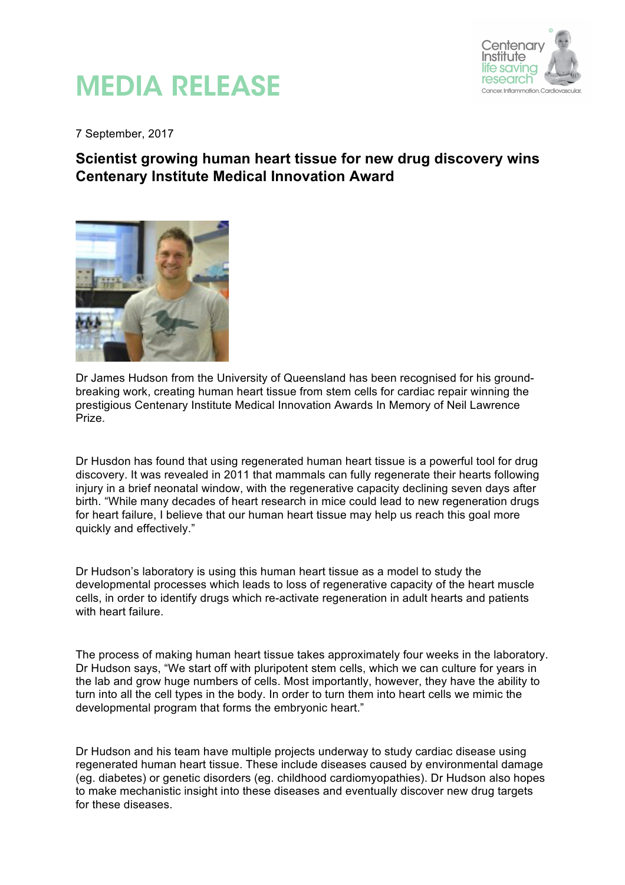

## MEDIA RELEASE

7 September, 2017

## **Scientist growing human heart tissue for new drug discovery wins Centenary Institute Medical Innovation Award**



Dr James Hudson from the University of Queensland has been recognised for his groundbreaking work, creating human heart tissue from stem cells for cardiac repair winning the prestigious Centenary Institute Medical Innovation Awards In Memory of Neil Lawrence Prize.

Dr Husdon has found that using regenerated human heart tissue is a powerful tool for drug discovery. It was revealed in 2011 that mammals can fully regenerate their hearts following injury in a brief neonatal window, with the regenerative capacity declining seven days after birth. "While many decades of heart research in mice could lead to new regeneration drugs for heart failure, I believe that our human heart tissue may help us reach this goal more quickly and effectively."

Dr Hudson's laboratory is using this human heart tissue as a model to study the developmental processes which leads to loss of regenerative capacity of the heart muscle cells, in order to identify drugs which re-activate regeneration in adult hearts and patients with heart failure.

The process of making human heart tissue takes approximately four weeks in the laboratory. Dr Hudson says, "We start off with pluripotent stem cells, which we can culture for years in the lab and grow huge numbers of cells. Most importantly, however, they have the ability to turn into all the cell types in the body. In order to turn them into heart cells we mimic the developmental program that forms the embryonic heart."

Dr Hudson and his team have multiple projects underway to study cardiac disease using regenerated human heart tissue. These include diseases caused by environmental damage (eg. diabetes) or genetic disorders (eg. childhood cardiomyopathies). Dr Hudson also hopes to make mechanistic insight into these diseases and eventually discover new drug targets for these diseases.